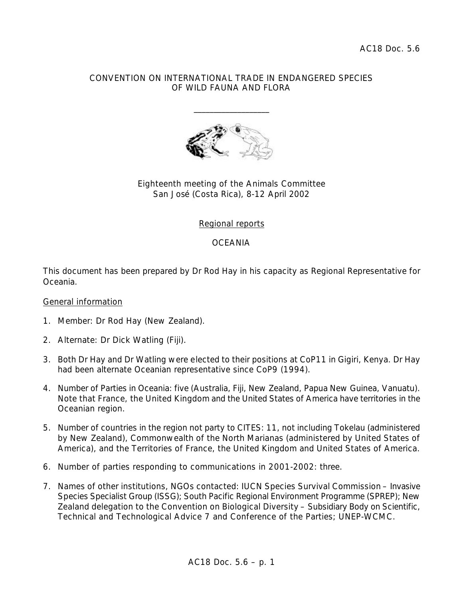#### CONVENTION ON INTERNATIONAL TRADE IN ENDANGERED SPECIES OF WILD FAUNA AND FLORA

\_\_\_\_\_\_\_\_\_\_\_\_\_\_\_\_\_\_\_



# Eighteenth meeting of the Animals Committee San José (Costa Rica), 8-12 April 2002

# Regional reports

## **OCEANIA**

This document has been prepared by Dr Rod Hay in his capacity as Regional Representative for Oceania.

### General information

- 1. Member: Dr Rod Hay (New Zealand).
- 2. Alternate: Dr Dick Watling (Fiji).
- 3. Both Dr Hay and Dr Watling were elected to their positions at CoP11 in Gigiri, Kenya. Dr Hay had been alternate Oceanian representative since CoP9 (1994).
- 4. Number of Parties in Oceania: five (Australia, Fiji, New Zealand, Papua New Guinea, Vanuatu). Note that France, the United Kingdom and the United States of America have territories in the Oceanian region.
- 5. Number of countries in the region not party to CITES: 11, not including Tokelau (administered by New Zealand), Commonwealth of the North Marianas (administered by United States of America), and the Territories of France, the United Kingdom and United States of America.
- 6. Number of parties responding to communications in 2001-2002: three.
- 7. Names of other institutions, NGOs contacted: IUCN Species Survival Commission Invasive Species Specialist Group (ISSG); South Pacific Regional Environment Programme (SPREP); New Zealand delegation to the Convention on Biological Diversity – Subsidiary Body on Scientific, Technical and Technological Advice 7 and Conference of the Parties; UNEP-WCMC.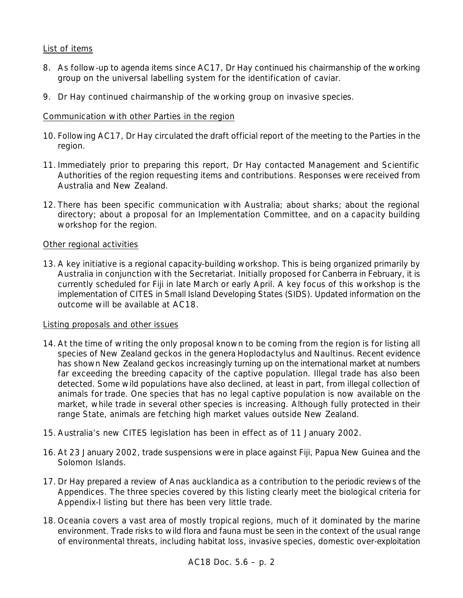## List of items

- 8. As follow-up to agenda items since AC17, Dr Hay continued his chairmanship of the working group on the universal labelling system for the identification of caviar.
- 9. Dr Hay continued chairmanship of the working group on invasive species.

## Communication with other Parties in the region

- 10. Following AC17, Dr Hay circulated the draft official report of the meeting to the Parties in the region.
- 11. Immediately prior to preparing this report, Dr Hay contacted Management and Scientific Authorities of the region requesting items and contributions. Responses were received from Australia and New Zealand.
- 12. There has been specific communication with Australia; about sharks; about the regional directory; about a proposal for an Implementation Committee, and on a capacity building workshop for the region.

### Other regional activities

13. A key initiative is a regional capacity-building workshop. This is being organized primarily by Australia in conjunction with the Secretariat. Initially proposed for Canberra in February, it is currently scheduled for Fiji in late March or early April. A key focus of this workshop is the implementation of CITES in Small Island Developing States (SIDS). Updated information on the outcome will be available at AC18.

### Listing proposals and other issues

- 14. At the time of writing the only proposal known to be coming from the region is for listing all species of New Zealand geckos in the genera *Hoplodactylus* and *Naultinus*. Recent evidence has shown New Zealand geckos increasingly turning up on the international market at numbers far exceeding the breeding capacity of the captive population. Illegal trade has also been detected. Some wild populations have also declined, at least in part, from illegal collection of animals for trade. One species that has no legal captive population is now available on the market, while trade in several other species is increasing. Although fully protected in their range State, animals are fetching high market values outside New Zealand.
- 15. Australia's new CITES legislation has been in effect as of 11 January 2002.
- 16. At 23 January 2002, trade suspensions were in place against Fiji, Papua New Guinea and the Solomon Islands.
- 17. Dr Hay prepared a review of *Anas aucklandica* as a contribution to the periodic reviews of the Appendices. The three species covered by this listing clearly meet the biological criteria for Appendix-I listing but there has been very little trade.
- 18. Oceania covers a vast area of mostly tropical regions, much of it dominated by the marine environment. Trade risks to wild flora and fauna must be seen in the context of the usual range of environmental threats, including habitat loss, invasive species, domestic over-exploitation